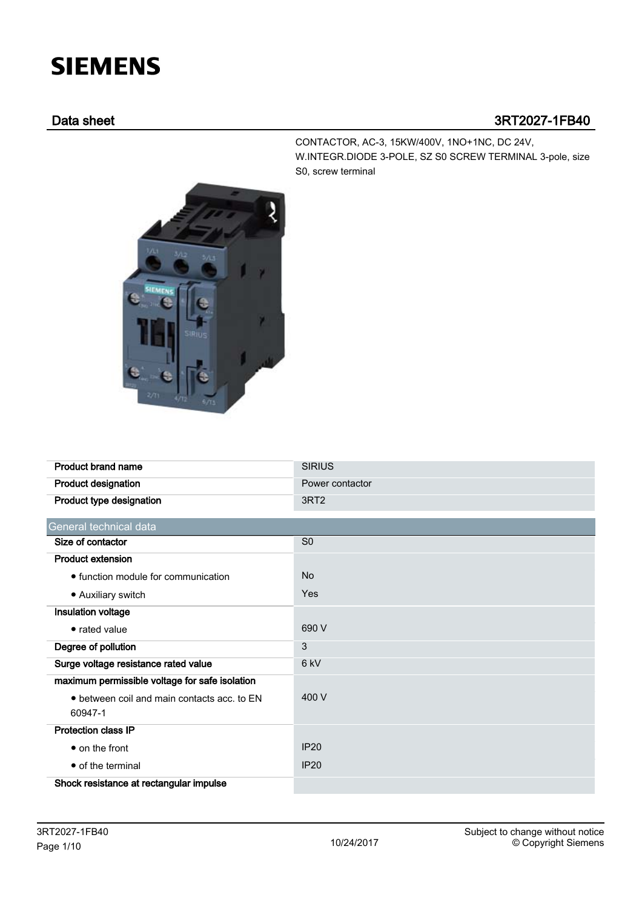# **SIEMENS**

# Data sheet 3RT2027-1FB40

CONTACTOR, AC-3, 15KW/400V, 1NO+1NC, DC 24V, W.INTEGR.DIODE 3-POLE, SZ S0 SCREW TERMINAL 3-pole, size S0, screw terminal



| <b>Product brand name</b>                      | <b>SIRIUS</b>    |
|------------------------------------------------|------------------|
| <b>Product designation</b>                     | Power contactor  |
| Product type designation                       | 3RT <sub>2</sub> |
|                                                |                  |
| General technical data                         |                  |
| Size of contactor                              | S <sub>0</sub>   |
| <b>Product extension</b>                       |                  |
| • function module for communication            | <b>No</b>        |
| • Auxiliary switch                             | Yes              |
| Insulation voltage                             |                  |
| • rated value                                  | 690 V            |
| Degree of pollution                            | 3                |
| Surge voltage resistance rated value           | 6 kV             |
| maximum permissible voltage for safe isolation |                  |
| • between coil and main contacts acc. to EN    | 400 V            |
| 60947-1                                        |                  |
| <b>Protection class IP</b>                     |                  |
| $\bullet$ on the front                         | <b>IP20</b>      |
| • of the terminal                              | <b>IP20</b>      |
| Shock resistance at rectangular impulse        |                  |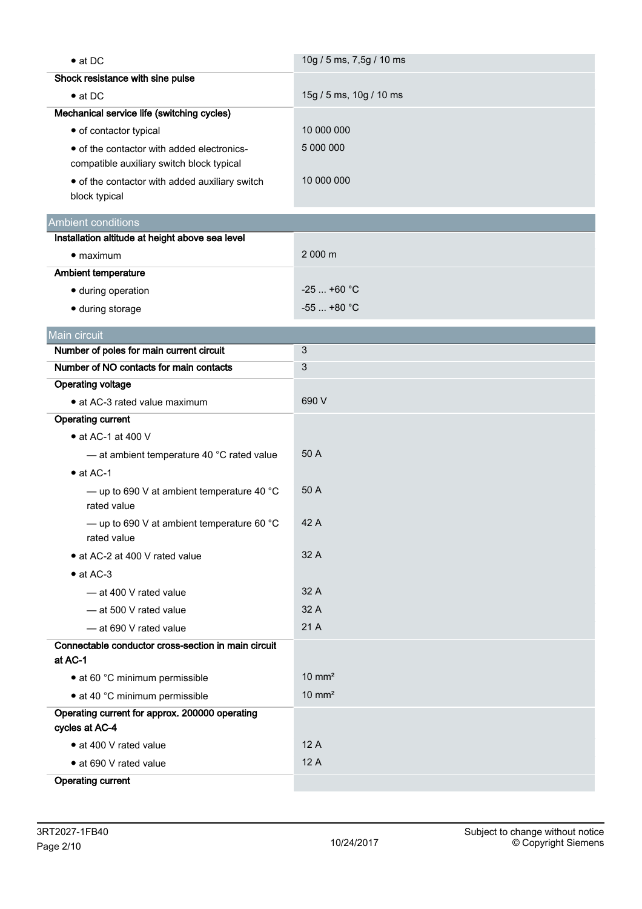| $\bullet$ at DC                                                     | 10g / 5 ms, 7,5g / 10 ms |
|---------------------------------------------------------------------|--------------------------|
| Shock resistance with sine pulse                                    |                          |
| $\bullet$ at DC                                                     | 15g / 5 ms, 10g / 10 ms  |
| Mechanical service life (switching cycles)                          |                          |
| • of contactor typical                                              | 10 000 000               |
| • of the contactor with added electronics-                          | 5 000 000                |
| compatible auxiliary switch block typical                           |                          |
| • of the contactor with added auxiliary switch                      | 10 000 000               |
| block typical                                                       |                          |
| <b>Ambient conditions</b>                                           |                          |
| Installation altitude at height above sea level                     |                          |
| $\bullet$ maximum                                                   | 2 000 m                  |
| Ambient temperature                                                 |                          |
| · during operation                                                  | $-25+60$ °C              |
| · during storage                                                    | $-55$ +80 °C             |
| Main circuit                                                        |                          |
| Number of poles for main current circuit                            | 3                        |
| Number of NO contacts for main contacts                             | 3                        |
| <b>Operating voltage</b>                                            |                          |
| • at AC-3 rated value maximum                                       | 690 V                    |
| <b>Operating current</b>                                            |                          |
| • at AC-1 at 400 V                                                  |                          |
| - at ambient temperature 40 °C rated value                          | 50 A                     |
| $\bullet$ at AC-1                                                   |                          |
| - up to 690 V at ambient temperature 40 $^{\circ}$ C<br>rated value | 50 A                     |
| — up to 690 V at ambient temperature 60 $^{\circ}$ C<br>rated value | 42 A                     |
| • at AC-2 at 400 V rated value                                      | 32 A                     |
| $\bullet$ at AC-3                                                   |                          |
| - at 400 V rated value                                              | 32 A                     |
| — at 500 V rated value                                              | 32 A                     |
| - at 690 V rated value                                              | 21 A                     |
| Connectable conductor cross-section in main circuit                 |                          |
| at AC-1                                                             |                          |
| • at 60 °C minimum permissible                                      | $10 \text{ mm}^2$        |
| • at 40 °C minimum permissible                                      | $10 \text{ mm}^2$        |
| Operating current for approx. 200000 operating                      |                          |
| cycles at AC-4                                                      | 12A                      |
| • at 400 V rated value                                              |                          |
| • at 690 V rated value                                              | 12 A                     |
| <b>Operating current</b>                                            |                          |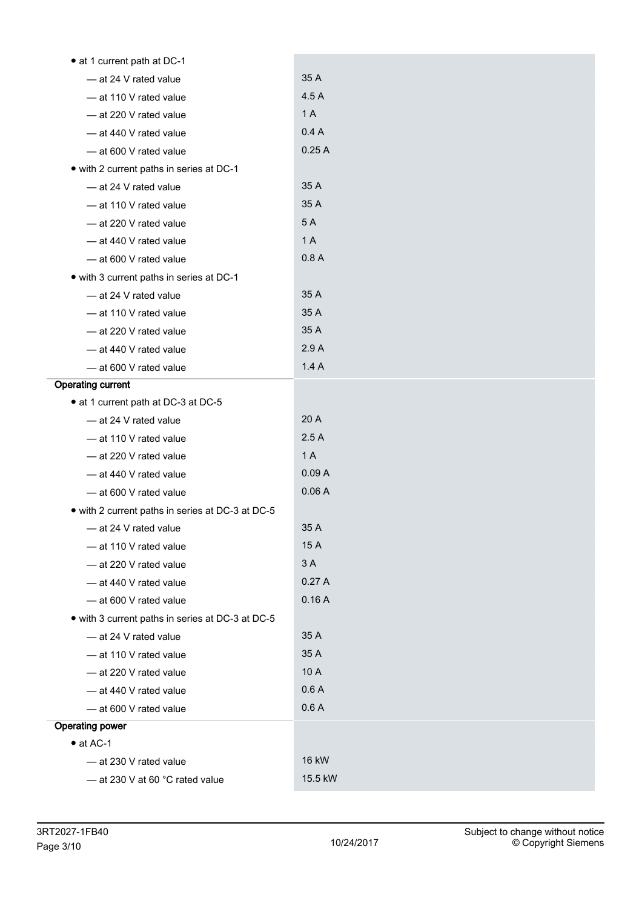| • at 1 current path at DC-1                      |              |
|--------------------------------------------------|--------------|
| - at 24 V rated value                            | 35 A         |
| - at 110 V rated value                           | 4.5A         |
| - at 220 V rated value                           | 1 A          |
| - at 440 V rated value                           | 0.4A         |
| - at 600 V rated value                           | 0.25A        |
| • with 2 current paths in series at DC-1         |              |
| - at 24 V rated value                            | 35 A         |
| - at 110 V rated value                           | 35 A         |
| - at 220 V rated value                           | 5A           |
| - at 440 V rated value                           | 1A           |
| - at 600 V rated value                           | 0.8A         |
| • with 3 current paths in series at DC-1         |              |
| - at 24 V rated value                            | 35 A         |
| - at 110 V rated value                           | 35 A         |
| - at 220 V rated value                           | 35 A         |
| - at 440 V rated value                           | 2.9A         |
| - at 600 V rated value                           | 1.4A         |
| <b>Operating current</b>                         |              |
| • at 1 current path at DC-3 at DC-5              |              |
| - at 24 V rated value                            | 20 A         |
| - at 110 V rated value                           | 2.5A         |
| - at 220 V rated value                           | 1 A          |
| - at 440 V rated value                           | 0.09A        |
| - at 600 V rated value                           | 0.06A        |
| • with 2 current paths in series at DC-3 at DC-5 |              |
| - at 24 V rated value                            | 35 A         |
| - at 110 V rated value                           | 15 A         |
| - at 220 V rated value                           | 3A           |
| - at 440 V rated value                           | 0.27A        |
| -at 600 V rated value                            | 0.16A        |
| • with 3 current paths in series at DC-3 at DC-5 |              |
| - at 24 V rated value                            | 35 A         |
| - at 110 V rated value                           | 35 A         |
| - at 220 V rated value                           | 10 A         |
| - at 440 V rated value                           | 0.6A         |
| -at 600 V rated value                            | 0.6A         |
| <b>Operating power</b>                           |              |
| $\bullet$ at AC-1                                |              |
| - at 230 V rated value                           | <b>16 kW</b> |
| - at 230 V at 60 °C rated value                  | 15.5 kW      |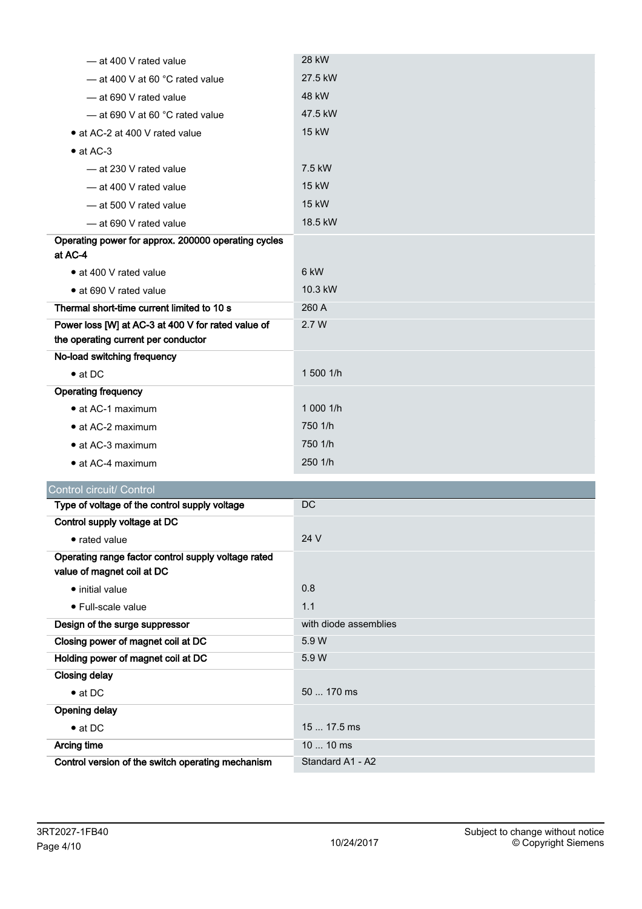| - at 400 V rated value                              | 28 kW                 |
|-----------------------------------------------------|-----------------------|
| $-$ at 400 V at 60 °C rated value                   | 27.5 kW               |
| - at 690 V rated value                              | 48 kW                 |
| $-$ at 690 V at 60 °C rated value                   | 47.5 kW               |
| • at AC-2 at 400 V rated value                      | 15 kW                 |
| $\bullet$ at AC-3                                   |                       |
| - at 230 V rated value                              | 7.5 kW                |
| - at 400 V rated value                              | 15 kW                 |
| - at 500 V rated value                              | 15 kW                 |
| -at 690 V rated value                               | 18.5 kW               |
| Operating power for approx. 200000 operating cycles |                       |
| at AC-4                                             |                       |
| • at 400 V rated value                              | 6 kW                  |
| • at 690 V rated value                              | 10.3 kW               |
| Thermal short-time current limited to 10 s          | 260 A                 |
| Power loss [W] at AC-3 at 400 V for rated value of  | 2.7 W                 |
| the operating current per conductor                 |                       |
| No-load switching frequency                         |                       |
| $\bullet$ at DC                                     | 1 500 1/h             |
| <b>Operating frequency</b>                          |                       |
| $\bullet$ at AC-1 maximum                           | 1 000 1/h             |
| • at AC-2 maximum                                   | 750 1/h               |
| • at AC-3 maximum                                   | 750 1/h               |
| • at AC-4 maximum                                   | 250 1/h               |
| Control circuit/ Control                            |                       |
| Type of voltage of the control supply voltage       | DC                    |
| Control supply voltage at DC                        |                       |
| • rated value                                       | 24 V                  |
| Operating range factor control supply voltage rated |                       |
| value of magnet coil at DC                          |                       |
| • initial value                                     | 0.8                   |
| • Full-scale value                                  | 1.1                   |
| Design of the surge suppressor                      | with diode assemblies |
| Closing power of magnet coil at DC                  | 5.9 W                 |
| Holding power of magnet coil at DC                  | 5.9 W                 |
| Closing delay                                       |                       |

| <b>Closing delay</b>                              |                  |
|---------------------------------------------------|------------------|
| $\bullet$ at DC                                   | 50  170 ms       |
| <b>Opening delay</b>                              |                  |
| $\bullet$ at DC                                   | $1517.5$ ms      |
| Arcing time                                       | $1010$ ms        |
| Control version of the switch operating mechanism | Standard A1 - A2 |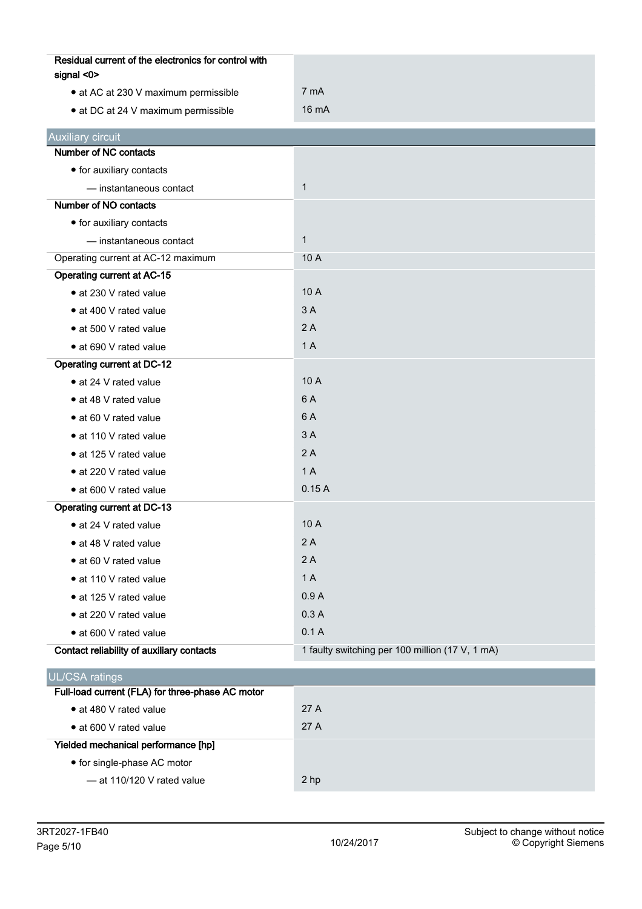| Residual current of the electronics for control with<br>signal <0> |                                                 |
|--------------------------------------------------------------------|-------------------------------------------------|
| • at AC at 230 V maximum permissible                               | 7 mA                                            |
| • at DC at 24 V maximum permissible                                | 16 mA                                           |
|                                                                    |                                                 |
| <b>Auxiliary circuit</b>                                           |                                                 |
| Number of NC contacts                                              |                                                 |
| • for auxiliary contacts                                           |                                                 |
| - instantaneous contact                                            | $\mathbf{1}$                                    |
| Number of NO contacts                                              |                                                 |
| • for auxiliary contacts                                           |                                                 |
| - instantaneous contact                                            | $\mathbf{1}$                                    |
| Operating current at AC-12 maximum                                 | 10 A                                            |
| <b>Operating current at AC-15</b>                                  |                                                 |
| • at 230 V rated value                                             | 10A                                             |
| • at 400 V rated value                                             | 3A                                              |
| • at 500 V rated value                                             | 2A                                              |
| · at 690 V rated value                                             | 1A                                              |
| <b>Operating current at DC-12</b>                                  |                                                 |
| • at 24 V rated value                                              | 10 A                                            |
| • at 48 V rated value                                              | 6 A                                             |
| • at 60 V rated value                                              | 6 A                                             |
| • at 110 V rated value                                             | 3A                                              |
| • at 125 V rated value                                             | 2A                                              |
| • at 220 V rated value                                             | 1A                                              |
| • at 600 V rated value                                             | 0.15A                                           |
| Operating current at DC-13                                         |                                                 |
| • at 24 V rated value                                              | 10 A                                            |
| · at 48 V rated value                                              | 2A                                              |
| · at 60 V rated value                                              | 2A                                              |
| • at 110 V rated value                                             | 1A                                              |
| • at 125 V rated value                                             | 0.9A                                            |
| • at 220 V rated value                                             | 0.3A                                            |
| • at 600 V rated value                                             | 0.1A                                            |
| Contact reliability of auxiliary contacts                          | 1 faulty switching per 100 million (17 V, 1 mA) |
| UL/CSA ratings                                                     |                                                 |
| Full-load current (FLA) for three-phase AC motor                   |                                                 |
| · at 480 V rated value                                             | 27 A                                            |
| • at 600 V rated value                                             | 27 A                                            |
| Yielded mechanical performance [hp]                                |                                                 |
| • for single-phase AC motor                                        |                                                 |
| - at 110/120 V rated value                                         | 2 hp                                            |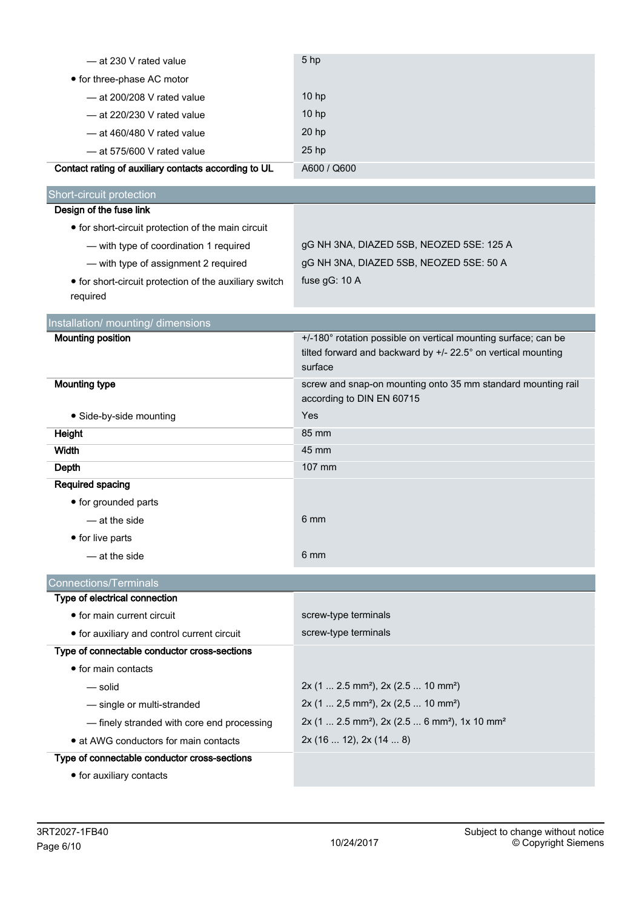| -at 230 V rated value                                  | 5 hp                                                                                      |
|--------------------------------------------------------|-------------------------------------------------------------------------------------------|
| • for three-phase AC motor                             |                                                                                           |
| -at 200/208 V rated value                              | 10 hp                                                                                     |
| — at 220/230 V rated value                             | 10 hp                                                                                     |
| — at 460/480 V rated value                             | 20 hp                                                                                     |
| -at 575/600 V rated value                              | 25 hp                                                                                     |
| Contact rating of auxiliary contacts according to UL   | A600 / Q600                                                                               |
| Short-circuit protection                               |                                                                                           |
| Design of the fuse link                                |                                                                                           |
| • for short-circuit protection of the main circuit     |                                                                                           |
| - with type of coordination 1 required                 | gG NH 3NA, DIAZED 5SB, NEOZED 5SE: 125 A                                                  |
| - with type of assignment 2 required                   | gG NH 3NA, DIAZED 5SB, NEOZED 5SE: 50 A                                                   |
| • for short-circuit protection of the auxiliary switch | fuse gG: 10 A                                                                             |
| required                                               |                                                                                           |
| Installation/ mounting/ dimensions                     |                                                                                           |
| <b>Mounting position</b>                               | +/-180° rotation possible on vertical mounting surface; can be                            |
|                                                        | tilted forward and backward by +/- 22.5° on vertical mounting                             |
|                                                        | surface                                                                                   |
| <b>Mounting type</b>                                   | screw and snap-on mounting onto 35 mm standard mounting rail<br>according to DIN EN 60715 |
| • Side-by-side mounting                                | Yes                                                                                       |
| Height                                                 | 85 mm                                                                                     |
| Width                                                  | 45 mm                                                                                     |
| Depth                                                  | 107 mm                                                                                    |
| Required spacing                                       |                                                                                           |
| • for grounded parts                                   |                                                                                           |
| - at the side                                          | 6 mm                                                                                      |
| • for live parts                                       |                                                                                           |
| — at the side                                          | 6 mm                                                                                      |
| <b>Connections/Terminals</b>                           |                                                                                           |
| Type of electrical connection                          |                                                                                           |
| • for main current circuit                             | screw-type terminals                                                                      |
| • for auxiliary and control current circuit            | screw-type terminals                                                                      |
| Type of connectable conductor cross-sections           |                                                                                           |
| • for main contacts                                    |                                                                                           |
| — solid                                                | $2x$ (1  2.5 mm <sup>2</sup> ), $2x$ (2.5  10 mm <sup>2</sup> )                           |
| - single or multi-stranded                             | 2x (1  2,5 mm <sup>2</sup> ), 2x (2,5  10 mm <sup>2</sup> )                               |
| - finely stranded with core end processing             | 2x (1  2.5 mm <sup>2</sup> ), 2x (2.5  6 mm <sup>2</sup> ), 1x 10 mm <sup>2</sup>         |
| • at AWG conductors for main contacts                  | 2x(1612), 2x(148)                                                                         |
| Type of connectable conductor cross-sections           |                                                                                           |
| • for auxiliary contacts                               |                                                                                           |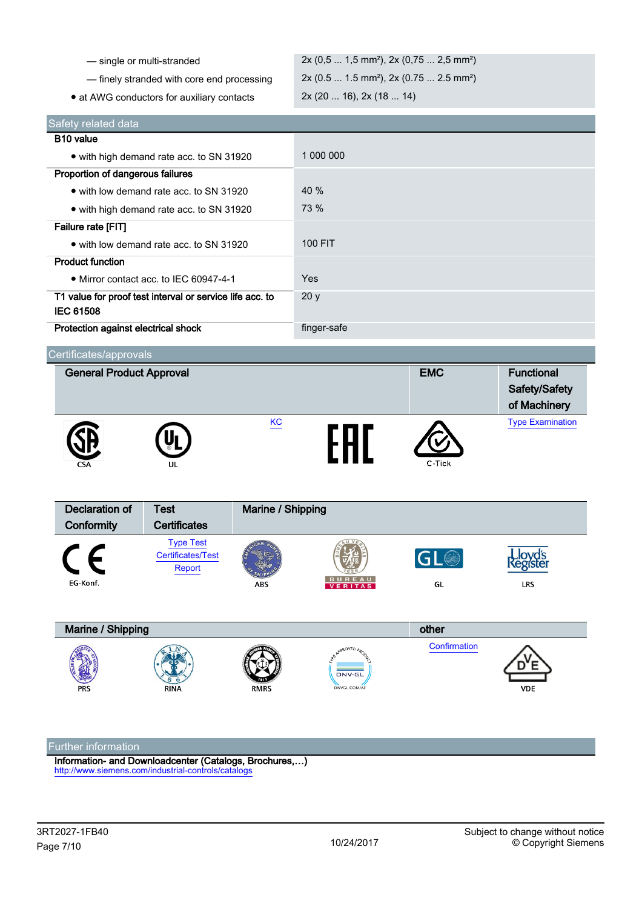| $2x (0,5  1,5 mm^2)$ , $2x (0,75  2,5 mm^2)$             |
|----------------------------------------------------------|
| $2x(0.5 1.5 \text{ mm}^2)$ , $2x(0.75 2.5 \text{ mm}^2)$ |
| 2x(2016), 2x(1814)                                       |
|                                                          |

| Safety related data                                      |             |
|----------------------------------------------------------|-------------|
| B <sub>10</sub> value                                    |             |
| • with high demand rate acc. to SN 31920                 | 1 000 000   |
| Proportion of dangerous failures                         |             |
| • with low demand rate acc. to SN 31920                  | 40 %        |
| • with high demand rate acc. to SN 31920                 | 73 %        |
| Failure rate [FIT]                                       |             |
| • with low demand rate acc. to SN 31920                  | 100 FIT     |
| <b>Product function</b>                                  |             |
| $\bullet$ Mirror contact acc. to IEC 60947-4-1           | <b>Yes</b>  |
| T1 value for proof test interval or service life acc. to | 20y         |
| <b>IEC 61508</b>                                         |             |
| Protection against electrical shock                      | finger-safe |

Certificates/approvals

|            | <b>General Product Approval</b> |           | <b>EMC</b> | <b>Functional</b><br>Safety/Safety<br>of Machinery |
|------------|---------------------------------|-----------|------------|----------------------------------------------------|
| <b>CSA</b> | UL                              | <b>KC</b> | C-Tick     | <b>Type Examination</b>                            |

| Declaration of<br>Conformity | Test<br><b>Certificates</b>                            | Marine / Shipping |                          |    |            |
|------------------------------|--------------------------------------------------------|-------------------|--------------------------|----|------------|
|                              | <b>Type Test</b><br><b>Certificates/Test</b><br>Report |                   |                          |    |            |
| EG-Konf.                     |                                                        | <b>ABS</b>        | <b>BUREAU</b><br>VERITAS | GL | <b>LRS</b> |



Further information

Information- and Downloadcenter (Catalogs, Brochures,…) <http://www.siemens.com/industrial-controls/catalogs>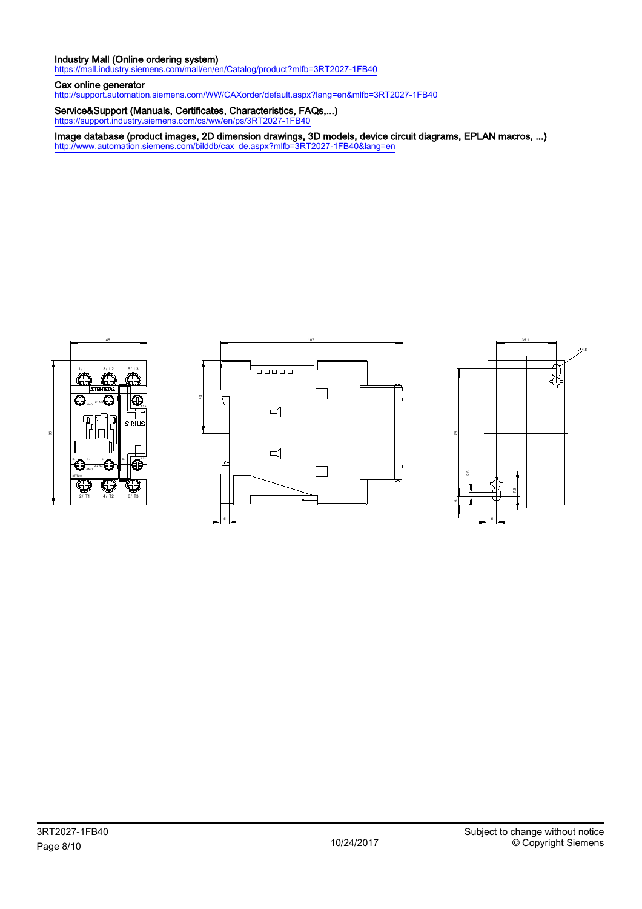## Industry Mall (Online ordering system)

<https://mall.industry.siemens.com/mall/en/en/Catalog/product?mlfb=3RT2027-1FB40>

### Cax online generator

<http://support.automation.siemens.com/WW/CAXorder/default.aspx?lang=en&mlfb=3RT2027-1FB40>

Service&Support (Manuals, Certificates, Characteristics, FAQs,...) <https://support.industry.siemens.com/cs/ww/en/ps/3RT2027-1FB40>

Image database (product images, 2D dimension drawings, 3D models, device circuit diagrams, EPLAN macros, ...) [http://www.automation.siemens.com/bilddb/cax\\_de.aspx?mlfb=3RT2027-1FB40&lang=en](http://www.automation.siemens.com/bilddb/cax_de.aspx?mlfb=3RT2027-1FB40&lang=en)





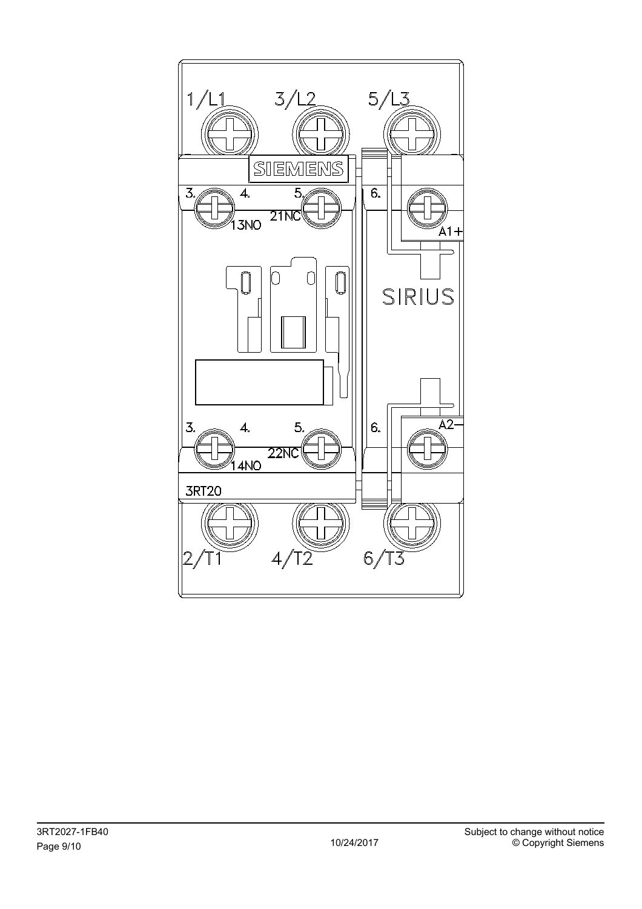